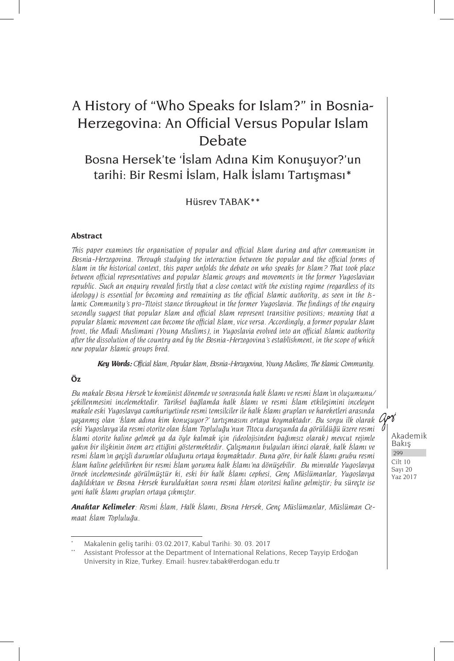## Bosna Hersek'te 'İslam Adına Kim Konuşuyor?'un tarihi: Bir Resmi İslam, Halk İslamı Tartışması\*

Hüsrev TABAK\*\*

#### **Abstract**

*This paper examines the organisation of popular and official Islam during and after communism in Bosnia-Herzegovina. Through studying the interaction between the popular and the official forms of Islam in the historical context, this paper unfolds the debate on who speaks for Islam? That took place between official representatives and popular Islamic groups and movements in the former Yugoslavian republic. Such an enquiry revealed firstly that a close contact with the existing regime (regardless of its ideology) is essential for becoming and remaining as the official Islamic authority, as seen in the Islamic Community's pro-Titoist stance throughout in the former Yugoslavia. The findings of the enquiry secondly suggest that popular Islam and official Islam represent transitive positions; meaning that a popular Islamic movement can become the official Islam, vice versa. Accordingly, a former popular Islam front, the Mladi Muslimani (Young Muslims), in Yugoslavia evolved into an official Islamic authority after the dissolution of the country and by the Bosnia-Herzegovina's establishment, in the scope of which new popular Islamic groups bred.* 

*Key Words: Official Islam, Popular Islam, Bosnia-Herzegovina, Young Muslims, The Islamic Community.*

#### **Öz**

*Bu makale Bosna Hersek'te komünist dönemde ve sonrasında halk İslamı ve resmi İslam'ın oluşumunu/ şekillenmesini incelemektedir. Tarihsel bağlamda halk İslamı ve resmi İslam etkileşimini inceleyen makale eski Yugoslavya cumhuriyetinde resmi temsilciler ile halk İslamı grupları ve hareketleri arasında yaşanmış olan 'İslam adına kim konuşuyor?' tartışmasını ortaya koymaktadır. Bu sorgu ilk olarak eski Yugoslavya'da resmi otorite olan İslam Topluluğu'nun Titocu duruşunda da görüldüğü üzere resmi İslami otorite haline gelmek ya da öyle kalmak için (ideolojisinden bağımsız olarak) mevcut rejimle yakın bir ilişkinin önem arz ettiğini göstermektedir. Çalışmanın bulguları ikinci olarak, halk İslamı ve resmi İslam'ın geçişli durumlar olduğunu ortaya koymaktadır. Buna göre, bir halk İslamı grubu resmi İslam haline gelebilirken bir resmi İslam yorumu halk İslamı'na dönüşebilir. Bu minvalde Yugoslavya örnek incelemesinde görülmüştür ki, eski bir halk İslamı cephesi, Genç Müslümanlar, Yugoslavya dağıldıktan ve Bosna Hersek kurulduktan sonra resmi İslam otoritesi haline gelmiştir; bu süreçte ise yeni halk İslamı grupları ortaya çıkmıştır.*

*Anahtar Kelimeler: Resmi İslam, Halk İslamı, Bosna Hersek, Genç Müslümanlar, Müslüman Cemaat İslam Topluluğu.*

<sup>\*</sup> Makalenin geliş tarihi: 03.02.2017, Kabul Tarihi: 30. 03. 2017

Assistant Professor at the Department of International Relations, Recep Tayyip Erdoğan University in Rize, Turkey. Email: husrev.tabak@erdogan.edu.tr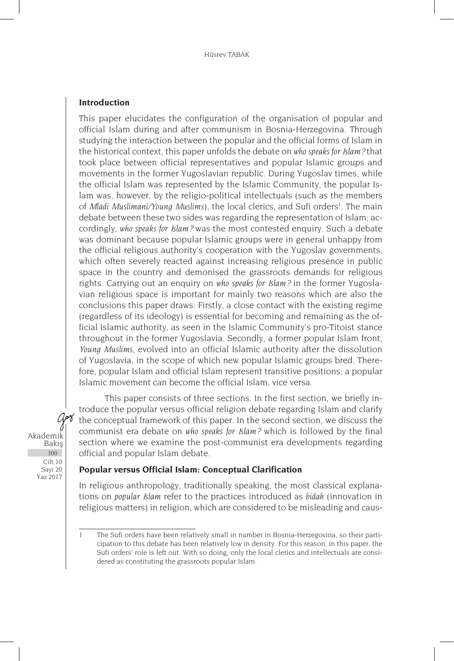#### **Introduction**

This paper elucidates the configuration of the organisation of popular and official Islam during and after communism in Bosnia-Herzegovina. Through studying the interaction between the popular and the official forms of Islam in the historical context, this paper unfolds the debate on *who speaks for Islam?* that took place between official representatives and popular Islamic groups and movements in the former Yugoslavian republic. During Yugoslav times, while the official Islam was represented by the Islamic Community, the popular Islam was, however, by the religio-political intellectuals (such as the members of Mladi Muslimani/Young Muslims), the local clerics, and Sufi orders<sup>1</sup>. The main debate between these two sides was regarding the representation of Islam; accordingly, *who speaks for Islam?* was the most contested enquiry. Such a debate was dominant because popular Islamic groups were in general unhappy from the official religious authority's cooperation with the Yugoslav governments, which often severely reacted against increasing religious presence in public space in the country and demonised the grassroots demands for religious rights. Carrying out an enquiry on *who speaks for Islam?* in the former Yugoslavian religious space is important for mainly two reasons which are also the conclusions this paper draws: Firstly, a close contact with the existing regime (regardless of its ideology) is essential for becoming and remaining as the official Islamic authority, as seen in the Islamic Community's pro-Titoist stance throughout in the former Yugoslavia. Secondly, a former popular Islam front, *Young Muslims*, evolved into an official Islamic authority after the dissolution of Yugoslavia, in the scope of which new popular Islamic groups bred. Therefore, popular Islam and official Islam represent transitive positions; a popular Islamic movement can become the official Islam, vice versa.

This paper consists of three sections. In the first section, we briefly introduce the popular versus official religion debate regarding Islam and clarify the conceptual framework of this paper. In the second section, we discuss the communist era debate on *who speaks for Islam?* which is followed by the final section where we examine the post-communist era developments regarding official and popular Islam debate.

**Popular versus Official Islam: Conceptual Clarification**

In religious anthropology, traditionally speaking, the most classical explanations on *popular Islam* refer to the practices introduced as *bidah* (innovation in religious matters) in religion, which are considered to be misleading and caus-

Akademik Bakış Cilt 10 Sayı 20 Yaz 2017 300

art

<sup>1</sup> The Sufi orders have been relatively small in number in Bosnia-Herzegovina, so their participation to this debate has been relatively low in density. For this reason, in this paper, the Sufi orders' role is left out. With so doing, only the local clerics and intellectuals are considered as constituting the grassroots popular Islam.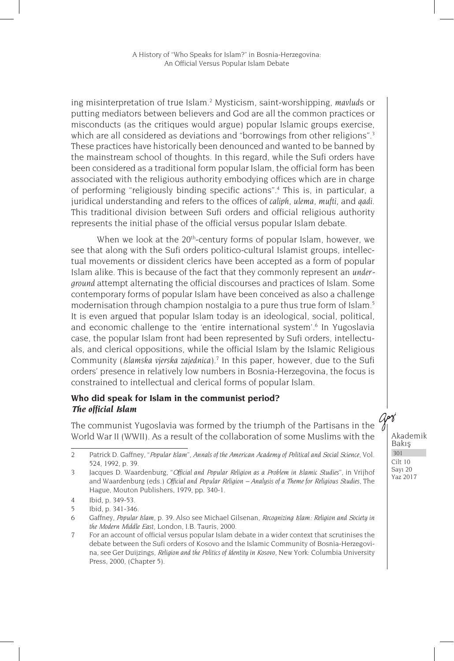ing misinterpretation of true Islam.2 Mysticism, saint-worshipping, *mavlud*s or putting mediators between believers and God are all the common practices or misconducts (as the critiques would argue) popular Islamic groups exercise, which are all considered as deviations and "borrowings from other religions".<sup>3</sup> These practices have historically been denounced and wanted to be banned by the mainstream school of thoughts. In this regard, while the Sufi orders have been considered as a traditional form popular Islam, the official form has been associated with the religious authority embodying offices which are in charge of performing "religiously binding specific actions".4 This is, in particular, a juridical understanding and refers to the offices of *caliph*, *ulema*, *mufti*, and *qadi*. This traditional division between Sufi orders and official religious authority represents the initial phase of the official versus popular Islam debate.

When we look at the 20<sup>th</sup>-century forms of popular Islam, however, we see that along with the Sufi orders politico-cultural Islamist groups, intellectual movements or dissident clerics have been accepted as a form of popular Islam alike. This is because of the fact that they commonly represent an *underground* attempt alternating the official discourses and practices of Islam. Some contemporary forms of popular Islam have been conceived as also a challenge modernisation through champion nostalgia to a pure thus true form of Islam.<sup>5</sup> It is even argued that popular Islam today is an ideological, social, political, and economic challenge to the 'entire international system'.<sup>6</sup> In Yugoslavia case, the popular Islam front had been represented by Sufi orders, intellectuals, and clerical oppositions, while the official Islam by the Islamic Religious Community (*Islamska vjerska zajednica*).7 In this paper, however, due to the Sufi orders' presence in relatively low numbers in Bosnia-Herzegovina, the focus is constrained to intellectual and clerical forms of popular Islam.

#### **Who did speak for Islam in the communist period?** *The official Islam*

The communist Yugoslavia was formed by the triumph of the Partisans in the World War II (WWII). As a result of the collaboration of some Muslims with the

<sup>2</sup> Patrick D. Gaffney, "*Popular Islam*", *Annals of the American Academy of Political and Social Science*, Vol. 524, 1992, p. 39.

<sup>3</sup> Jacques D. Waardenburg, "*Official and Popular Religion as a Problem in Islamic Studies*", in Vrijhof and Waardenburg (eds.) *Official and Popular Religion – Analysis of a Theme for Religious Studies*, The Hague, Mouton Publishers, 1979, pp. 340-1.

<sup>4</sup> Ibid, p. 349-53.

<sup>5</sup> Ibid, p. 341-346.

<sup>6</sup> Gaffney, *Popular Islam*, p. 39. Also see Michael Gilsenan, *Recognizing Islam: Religion and Society in the Modern Middle East*, London, I.B. Tauris, 2000.

<sup>7</sup> For an account of official versus popular Islam debate in a wider context that scrutinises the debate between the Sufi orders of Kosovo and the Islamic Community of Bosnia-Herzegovina, see Ger Duijzings, *Religion and the Politics of Identity in Kosovo*, New York: Columbia University Press, 2000, (Chapter 5).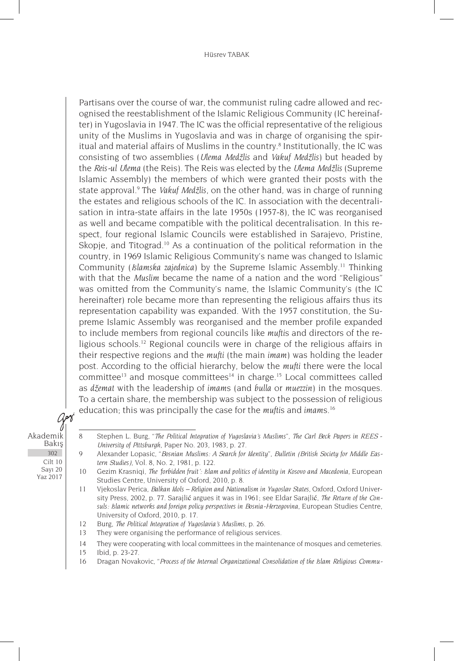#### Hüsrev TABAK

Partisans over the course of war, the communist ruling cadre allowed and recognised the reestablishment of the Islamic Religious Community (IC hereinafter) in Yugoslavia in 1947. The IC was the official representative of the religious unity of the Muslims in Yugoslavia and was in charge of organising the spiritual and material affairs of Muslims in the country.<sup>8</sup> Institutionally, the IC was consisting of two assemblies (*Ulema Medžlis* and *Vakuf Medžlis*) but headed by the *Reis-ul Ulema* (the Reis). The Reis was elected by the *Ulema Medžlis* (Supreme Islamic Assembly) the members of which were granted their posts with the state approval.9 The *Vakuf Medžlis*, on the other hand*,* was in charge of running the estates and religious schools of the IC. In association with the decentralisation in intra-state affairs in the late 1950s (1957-8), the IC was reorganised as well and became compatible with the political decentralisation. In this respect, four regional Islamic Councils were established in Sarajevo, Pristine, Skopje, and Titograd.<sup>10</sup> As a continuation of the political reformation in the country, in 1969 Islamic Religious Community's name was changed to Islamic Community (*Islamska zajednica*) by the Supreme Islamic Assembly.11 Thinking with that the *Muslim* became the name of a nation and the word "Religious" was omitted from the Community's name, the Islamic Community's (the IC hereinafter) role became more than representing the religious affairs thus its representation capability was expanded. With the 1957 constitution, the Supreme Islamic Assembly was reorganised and the member profile expanded to include members from regional councils like *mufti*s and directors of the religious schools.<sup>12</sup> Regional councils were in charge of the religious affairs in their respective regions and the *mufti* (the main *imam*) was holding the leader post. According to the official hierarchy, below the *mufti* there were the local committee<sup>13</sup> and mosque committees<sup>14</sup> in charge.<sup>15</sup> Local committees called as *džemat* with the leadership of *imam*s (and *bulla* or *muezzin*) in the mosques. To a certain share, the membership was subject to the possession of religious education; this was principally the case for the *mufti*s and *imam*s.16

Akademik Bakış Cilt 10 Sayı 20 Yaz 2017 302

art

- 12 Burg, *The Political Integration of Yugoslavia's Muslims*, p. 26.
- 13 They were organising the performance of religious services.

14 They were cooperating with local committees in the maintenance of mosques and cemeteries.

- 15 Ibid, p. 23-27.
- 16 Dragan Novakovic, "*Process of the Internal Organizational Consolidation of the Islam Religious Commu-*

<sup>8</sup> Stephen L. Burg, "*The Political Integration of Yugoslavia's Muslims*", *The Carl Beck Papers in REES* - *University of Pittsburgh*, Paper No. 203, 1983, p. 27.

<sup>9</sup> Alexander Lopasic, "*Bosnian Muslims: A Search for Identity*", *Bulletin (British Society for Middle Eastern Studies)*, Vol. 8, No. 2, 1981, p. 122.

<sup>10</sup> Gezim Krasniqi, *The 'forbidden fruit': Islam and politics of identity in Kosovo and Macedonia*, European Studies Centre, University of Oxford, 2010, p. 8.

<sup>11</sup> Vjekoslav Perica, *Balkan Idols – Religion and Nationalism in Yugoslav States*, Oxford, Oxford University Press, 2002, p. 77. Sarajlić argues it was in 1961; see Eldar Sarajlić, *The Return of the Consuls: Islamic networks and foreign policy perspectives in Bosnia-Herzegovina*, European Studies Centre, University of Oxford, 2010, p. 17.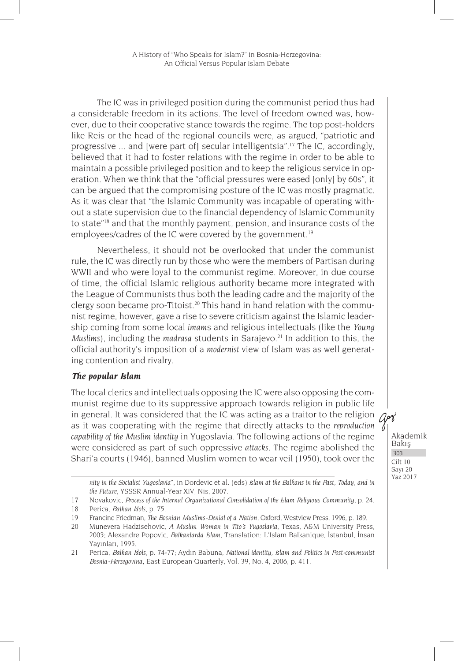The IC was in privileged position during the communist period thus had a considerable freedom in its actions. The level of freedom owned was, however, due to their cooperative stance towards the regime. The top post-holders like Reis or the head of the regional councils were, as argued, "patriotic and progressive ... and [were part of] secular intelligentsia".17 The IC, accordingly, believed that it had to foster relations with the regime in order to be able to maintain a possible privileged position and to keep the religious service in operation. When we think that the "official pressures were eased [only] by 60s", it can be argued that the compromising posture of the IC was mostly pragmatic. As it was clear that "the Islamic Community was incapable of operating without a state supervision due to the financial dependency of Islamic Community to state"18 and that the monthly payment, pension, and insurance costs of the employees/cadres of the IC were covered by the government.<sup>19</sup>

Nevertheless, it should not be overlooked that under the communist rule, the IC was directly run by those who were the members of Partisan during WWII and who were loyal to the communist regime. Moreover, in due course of time, the official Islamic religious authority became more integrated with the League of Communists thus both the leading cadre and the majority of the clergy soon became pro-Titoist.<sup>20</sup> This hand in hand relation with the communist regime, however, gave a rise to severe criticism against the Islamic leadership coming from some local *imam*s and religious intellectuals (like the *Young Muslims*), including the *madrasa* students in Sarajevo.<sup>21</sup> In addition to this, the official authority's imposition of a *modernist* view of Islam was as well generating contention and rivalry.

#### *The popular Islam*

The local clerics and intellectuals opposing the IC were also opposing the communist regime due to its suppressive approach towards religion in public life in general. It was considered that the IC was acting as a traitor to the religion  $\sqrt{2\pi}$ as it was cooperating with the regime that directly attacks to the *reproduction capability of the Muslim identity* in Yugoslavia. The following actions of the regime were considered as part of such oppressive *attacks*. The regime abolished the Shari'a courts (1946), banned Muslim women to wear veil (1950), took over the

*nity in the Socialist Yugoslavia*", in Dordevic et al. (eds) *Islam at the Balkans in the Past, Today, and in the Future*, YSSSR Annual-Year XIV, Nis, 2007.

<sup>17</sup> Novakovic, *Process of the Internal Organizational Consolidation of the Islam Religious Community*, p. 24.

<sup>18</sup> Perica, *Balkan Idols,* p. 75.

<sup>19</sup> Francine Friedman, *The Bosnian Muslims-Denial of a Nation*, Oxford, Westview Press, 1996, p. 189.

<sup>20</sup> Munevera Hadzisehovic, *A Muslim Woman in Tito's Yugoslavia*, Texas, A&M University Press, 2003; Alexandre Popovic, *Balkanlarda Islam*, Translation: L'Islam Balkanique, İstanbul, İnsan Yayınları, 1995.

<sup>21</sup> Perica, *Balkan Idols,* p. 74-77; Aydın Babuna, *National identity, Islam and Politics in Post-communist Bosnia-Herzegovina*, East European Quarterly, Vol. 39, No. 4, 2006, p. 411.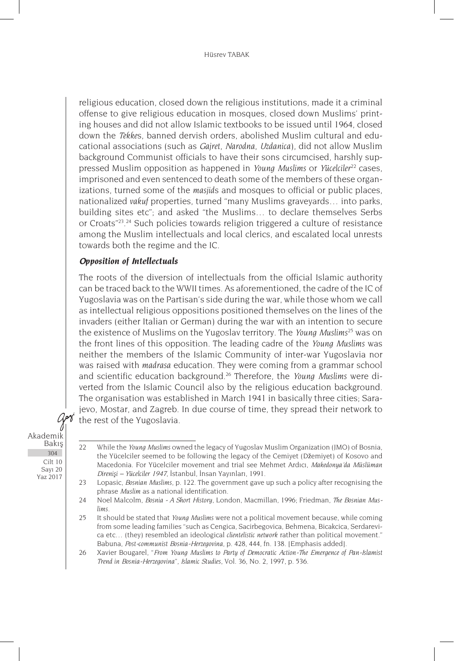religious education, closed down the religious institutions, made it a criminal offense to give religious education in mosques, closed down Muslims' printing houses and did not allow Islamic textbooks to be issued until 1964, closed down the *Tekke*s, banned dervish orders, abolished Muslim cultural and educational associations (such as *Gajret*, *Narodna*, *Uzdanica*), did not allow Muslim background Communist officials to have their sons circumcised, harshly suppressed Muslim opposition as happened in *Young Muslims* or *Yücelciler*22 cases, imprisoned and even sentenced to death some of the members of these organizations, turned some of the *masjid*s and mosques to official or public places, nationalized *vakuf* properties, turned "many Muslims graveyards… into parks, building sites etc"; and asked "the Muslims… to declare themselves Serbs or Croats"<sup>23</sup>.<sup>24</sup> Such policies towards religion triggered a culture of resistance among the Muslim intellectuals and local clerics, and escalated local unrests towards both the regime and the IC.

## *Opposition of Intellectuals*

The roots of the diversion of intellectuals from the official Islamic authority can be traced back to the WWII times. As aforementioned, the cadre of the IC of Yugoslavia was on the Partisan's side during the war, while those whom we call as intellectual religious oppositions positioned themselves on the lines of the invaders (either Italian or German) during the war with an intention to secure the existence of Muslims on the Yugoslav territory. The *Young Muslims*25 was on the front lines of this opposition. The leading cadre of the *Young Muslims* was neither the members of the Islamic Community of inter-war Yugoslavia nor was raised with *madrasa* education. They were coming from a grammar school and scientific education background.26 Therefore, the *Young Muslims* were diverted from the Islamic Council also by the religious education background. The organisation was established in March 1941 in basically three cities; Sarajevo, Mostar, and Zagreb. In due course of time, they spread their network to the rest of the Yugoslavia.

<sup>22</sup> While the *Young Muslims* owned the legacy of Yugoslav Muslim Organization (JMO) of Bosnia, the Yücelciler seemed to be following the legacy of the Cemiyet (Džemiyet) of Kosovo and Macedonia. For Yücelciler movement and trial see Mehmet Ardıcı, *Makedonya'da Müslüman Direnişi – Yücelciler 1947*, İstanbul, İnsan Yayınları, 1991.

<sup>23</sup> Lopasic, *Bosnian Muslims*, p. 122. The government gave up such a policy after recognising the phrase *Muslim* as a national identification.

<sup>24</sup> Noel Malcolm, *Bosnia - A Short History*, London, Macmillan, 1996; Friedman, *The Bosnian Muslims.*

<sup>25</sup> It should be stated that *Young Muslims* were not a political movement because, while coming from some leading families "such as Cengica, Sacirbegovica, Behmena, Bicakcica, Serdarevica etc… (they) resembled an ideological *clientelistic network* rather than political movement." Babuna, *Post-communist Bosnia-Herzegovina*, p. 428, 444, fn. 138. [Emphasis added].

<sup>26</sup> Xavier Bougarel, "*From Young Muslims to Party of Democratic Action-The Emergence of Pan-Islamist Trend in Bosnia-Herzegovina*", *Islamic Studies*, Vol. 36, No. 2, 1997, p. 536.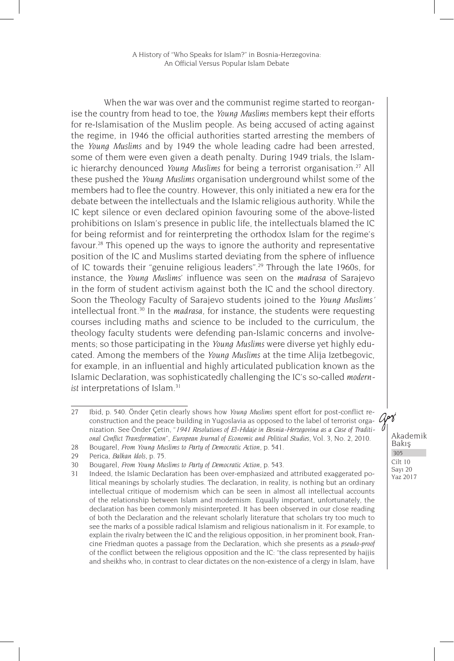When the war was over and the communist regime started to reorganise the country from head to toe, the *Young Muslims* members kept their efforts for re-Islamisation of the Muslim people. As being accused of acting against the regime, in 1946 the official authorities started arresting the members of the *Young Muslims* and by 1949 the whole leading cadre had been arrested, some of them were even given a death penalty. During 1949 trials, the Islamic hierarchy denounced *Young Muslims* for being a terrorist organisation.27 All these pushed the *Young Muslims* organisation underground whilst some of the members had to flee the country. However, this only initiated a new era for the debate between the intellectuals and the Islamic religious authority. While the IC kept silence or even declared opinion favouring some of the above-listed prohibitions on Islam's presence in public life, the intellectuals blamed the IC for being reformist and for reinterpreting the orthodox Islam for the regime's favour.<sup>28</sup> This opened up the ways to ignore the authority and representative position of the IC and Muslims started deviating from the sphere of influence of IC towards their "genuine religious leaders".29 Through the late 1960s, for instance, the *Young Muslims*' influence was seen on the *madrasa* of Sarajevo in the form of student activism against both the IC and the school directory. Soon the Theology Faculty of Sarajevo students joined to the *Young Muslims'* intellectual front.30 In the *madrasa*, for instance, the students were requesting courses including maths and science to be included to the curriculum, the theology faculty students were defending pan-Islamic concerns and involvements; so those participating in the *Young Muslims* were diverse yet highly educated. Among the members of the *Young Muslims* at the time Alija Izetbegovic, for example, in an influential and highly articulated publication known as the Islamic Declaration, was sophisticatedly challenging the IC's so-called *modernist* interpretations of Islam.<sup>31</sup>

<sup>27</sup> Ibid, p. 540. Önder Çetin clearly shows how *Young Muslims* spent effort for post-conflict reconstruction and the peace building in Yugoslavia as opposed to the label of terrorist organization. See Önder Çetin, "*1941 Resolutions of El-Hidaje in Bosnia-Herzegovina as a Case of Traditional Conflict Transformation*", *European Journal of Economic and Political Studies*, Vol. 3, No. 2, 2010.

<sup>28</sup> Bougarel, *From Young Muslims to Party of Democratic Action*, p. 541.

<sup>29</sup> Perica, *Balkan Idols,* p. 75.

<sup>30</sup> Bougarel, *From Young Muslims to Party of Democratic Action*, p. 543.

<sup>31</sup> Indeed, the Islamic Declaration has been over-emphasized and attributed exaggerated political meanings by scholarly studies. The declaration, in reality, is nothing but an ordinary intellectual critique of modernism which can be seen in almost all intellectual accounts of the relationship between Islam and modernism. Equally important, unfortunately, the declaration has been commonly misinterpreted. It has been observed in our close reading of both the Declaration and the relevant scholarly literature that scholars try too much to see the marks of a possible radical Islamism and religious nationalism in it. For example, to explain the rivalry between the IC and the religious opposition, in her prominent book, Francine Friedman quotes a passage from the Declaration, which she presents as a *pseudo-proof* of the conflict between the religious opposition and the IC: "the class represented by hajjis and sheikhs who, in contrast to clear dictates on the non-existence of a clergy in Islam, have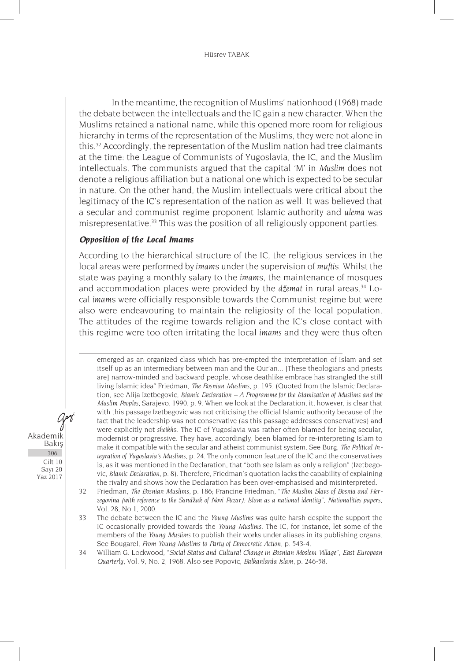#### Hüsrev TABAK

In the meantime, the recognition of Muslims' nationhood (1968) made the debate between the intellectuals and the IC gain a new character. When the Muslims retained a national name, while this opened more room for religious hierarchy in terms of the representation of the Muslims, they were not alone in this.<sup>32</sup> Accordingly, the representation of the Muslim nation had tree claimants at the time: the League of Communists of Yugoslavia, the IC, and the Muslim intellectuals. The communists argued that the capital 'M' in *Muslim* does not denote a religious affiliation but a national one which is expected to be secular in nature. On the other hand, the Muslim intellectuals were critical about the legitimacy of the IC's representation of the nation as well. It was believed that a secular and communist regime proponent Islamic authority and *ulema* was misrepresentative.33 This was the position of all religiously opponent parties.

## *Opposition of the Local Imams*

According to the hierarchical structure of the IC, the religious services in the local areas were performed by *imam*s under the supervision of *mufti*s. Whilst the state was paying a monthly salary to the *imam*s, the maintenance of mosques and accommodation places were provided by the *džemat* in rural areas.34 Local *imam*s were officially responsible towards the Communist regime but were also were endeavouring to maintain the religiosity of the local population. The attitudes of the regime towards religion and the IC's close contact with this regime were too often irritating the local *imams* and they were thus often

emerged as an organized class which has pre-empted the interpretation of Islam and set itself up as an intermediary between man and the Qur'an... [These theologians and priests are] narrow-minded and backward people, whose deathlike embrace has strangled the still living Islamic idea" Friedman, *The Bosnian Muslims*, p. 195. (Quoted from the Islamic Declaration, see Alija Izetbegovic, *Islamic Declaration – A Programme for the Islamisation of Muslims and the Muslim Peoples*, Sarajevo, 1990, p. 9. When we look at the Declaration, it, however, is clear that with this passage Izetbegovic was not criticising the official Islamic authority because of the fact that the leadership was not conservative (as this passage addresses conservatives) and were explicitly not *sheikh*s. The IC of Yugoslavia was rather often blamed for being secular, modernist or progressive. They have, accordingly, been blamed for re-interpreting Islam to make it compatible with the secular and atheist communist system. See Burg, *The Political Integration of Yugoslavia's Muslims*, p. 24. The only common feature of the IC and the conservatives is, as it was mentioned in the Declaration, that "both see Islam as only a religion" (Izetbegovic, *Islamic Declaration,* p. 8). Therefore, Friedman's quotation lacks the capability of explaining the rivalry and shows how the Declaration has been over-emphasised and misinterpreted.

32 Friedman, *The Bosnian Muslims*, p. 186; Francine Friedman, "*The Muslim Slavs of Bosnia and Herzegovina (with reference to the Sand*ž*ak of Novi Pazar): Islam as a national identity*", *Nationalities papers*, Vol. 28, No.1, 2000.

33 The debate between the IC and the *Young Muslims* was quite harsh despite the support the IC occasionally provided towards the *Young Muslims*. The IC, for instance, let some of the members of the *Young Muslims* to publish their works under aliases in its publishing organs. See Bougarel, *From Young Muslims to Party of Democratic Action*, p. 543-4.

34 William G. Lockwood, "*Social Status and Cultural Change in Bosnian Moslem Village*", *East European Quarterly*, Vol. 9, No. 2, 1968. Also see Popovic, *Balkanlarda Islam*, p. 246-58.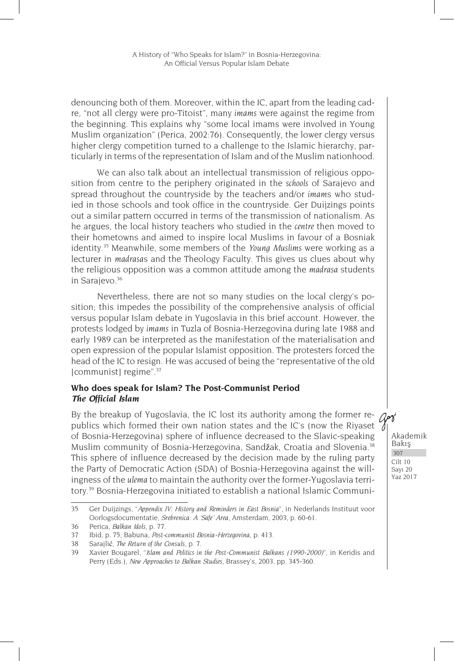denouncing both of them. Moreover, within the IC, apart from the leading cadre, "not all clergy were pro-Titoist", many *imams* were against the regime from the beginning. This explains why "some local imams were involved in Young Muslim organization" (Perica, 2002:76). Consequently, the lower clergy versus higher clergy competition turned to a challenge to the Islamic hierarchy, particularly in terms of the representation of Islam and of the Muslim nationhood.

We can also talk about an intellectual transmission of religious opposition from centre to the periphery originated in the *schools* of Sarajevo and spread throughout the countryside by the teachers and/or *imam*s who studied in those schools and took office in the countryside. Ger Duijzings points out a similar pattern occurred in terms of the transmission of nationalism. As he argues, the local history teachers who studied in the *centre* then moved to their hometowns and aimed to inspire local Muslims in favour of a Bosniak identity.35 Meanwhile, some members of the *Young Muslims* were working as a lecturer in *madrasa*s and the Theology Faculty. This gives us clues about why the religious opposition was a common attitude among the *madrasa* students in Sarajevo.<sup>36</sup>

Nevertheless, there are not so many studies on the local clergy's position; this impedes the possibility of the comprehensive analysis of official versus popular Islam debate in Yugoslavia in this brief account. However, the protests lodged by *imams* in Tuzla of Bosnia-Herzegovina during late 1988 and early 1989 can be interpreted as the manifestation of the materialisation and open expression of the popular Islamist opposition. The protesters forced the head of the IC to resign. He was accused of being the "representative of the old [communist] regime".<sup>37</sup>

## **Who does speak for Islam? The Post-Communist Period** *The Official Islam*

By the breakup of Yugoslavia, the IC lost its authority among the former re-  $\pi$ publics which formed their own nation states and the IC's (now the Riyaset  $\cdot$ of Bosnia-Herzegovina) sphere of influence decreased to the Slavic-speaking Muslim community of Bosnia-Herzegovina, Sandžak, Croatia and Slovenia.38 This sphere of influence decreased by the decision made by the ruling party the Party of Democratic Action (SDA) of Bosnia-Herzegovina against the willingness of the *ulema* to maintain the authority over the former-Yugoslavia territory.39 Bosnia-Herzegovina initiated to establish a national Islamic Communi-

<sup>35</sup> Ger Duijzings, "*Appendix IV: History and Reminders in East Bosnia*", in Nederlands Instituut voor Oorlogsdocumentatie, *Srebrenica: A 'Safe' Area*, Amsterdam, 2003, p. 60-61.

<sup>36</sup> Perica, *Balkan Idols,* p. 77.

<sup>37</sup> Ibid*,* p. 75; Babuna, *Post-communist Bosnia-Herzegovina*, p. 413.

<sup>38</sup> Sarajlić, *The Return of the Consuls*, p. 7.

<sup>39</sup> Xavier Bougarel, "*Islam and Politics in the Post-Communist Balkans (1990-2000)*", in Keridis and Perry (Eds.), *New Approaches to Balkan Studies*, Brassey's, 2003, pp. 345-360.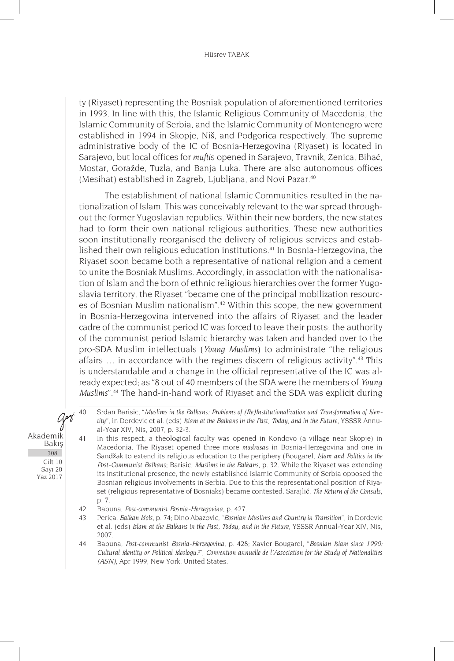#### Hüsrev TABAK

ty (Riyaset) representing the Bosniak population of aforementioned territories in 1993. In line with this, the Islamic Religious Community of Macedonia, the Islamic Community of Serbia, and the Islamic Community of Montenegro were established in 1994 in Skopje, Niš, and Podgorica respectively. The supreme administrative body of the IC of Bosnia-Herzegovina (Riyaset) is located in Sarajevo, but local offices for *mufti*s opened in Sarajevo, Travnik, Zenica, Bihać, Mostar, Goražde, Tuzla, and Banja Luka. There are also autonomous offices (Mesihat) established in Zagreb, Ljubljana, and Novi Pazar.<sup>40</sup>

The establishment of national Islamic Communities resulted in the nationalization of Islam. This was conceivably relevant to the war spread throughout the former Yugoslavian republics. Within their new borders, the new states had to form their own national religious authorities. These new authorities soon institutionally reorganised the delivery of religious services and established their own religious education institutions.41 In Bosnia-Herzegovina, the Riyaset soon became both a representative of national religion and a cement to unite the Bosniak Muslims. Accordingly, in association with the nationalisation of Islam and the born of ethnic religious hierarchies over the former Yugoslavia territory, the Riyaset "became one of the principal mobilization resources of Bosnian Muslim nationalism".<sup>42</sup> Within this scope, the new government in Bosnia-Herzegovina intervened into the affairs of Riyaset and the leader cadre of the communist period IC was forced to leave their posts; the authority of the communist period Islamic hierarchy was taken and handed over to the pro-SDA Muslim intellectuals (*Young Muslims*) to administrate "the religious affairs … in accordance with the regimes discern of religious activity".43 This is understandable and a change in the official representative of the IC was already expected; as "8 out of 40 members of the SDA were the members of *Young Muslims*".44 The hand-in-hand work of Riyaset and the SDA was explicit during

Akademik Bakış Cilt 10 Sayı 20 Yaz 2017 308

arri

<sup>40</sup> Srdan Barisic, "*Muslims in the Balkans: Problems of (Re)Institutionalization and Transformation of Identity*", in Dordevic et al. (eds) *Islam at the Balkans in the Past, Today, and in the Future*, YSSSR Annual-Year XIV, Nis, 2007, p. 32-3.

<sup>41</sup> In this respect, a theological faculty was opened in Kondovo (a village near Skopje) in Macedonia. The Riyaset opened three more *madrasa*s in Bosnia-Herzegovina and one in Sandžak to extend its religious education to the periphery (Bougarel, *Islam and Politics in the Post-Communist Balkans*; Barisic, *Muslims in the Balkans*, p. 32. While the Riyaset was extending its institutional presence, the newly established Islamic Community of Serbia opposed the Bosnian religious involvements in Serbia. Due to this the representational position of Riyaset (religious representative of Bosniaks) became contested. Sarajlić, *The Return of the Consuls*, p. 7.

<sup>42</sup> Babuna, *Post-communist Bosnia-Herzegovina*, p. 427.

<sup>43</sup> Perica, *Balkan Idols,* p. 74; Dino Abazovic, "*Bosnian Muslims and Country in Transition*", in Dordevic et al. (eds) *Islam at the Balkans in the Past, Today, and in the Future*, YSSSR Annual-Year XIV, Nis, 2007.

<sup>44</sup> Babuna, *Post-communist Bosnia-Herzegovina*, p. 428; Xavier Bougarel, "*Bosnian Islam since 1990: Cultural Identity or Political Ideology?*", *Convention annuelle de l'Association for the Study of Nationalities (ASN)*, Apr 1999, New York, United States.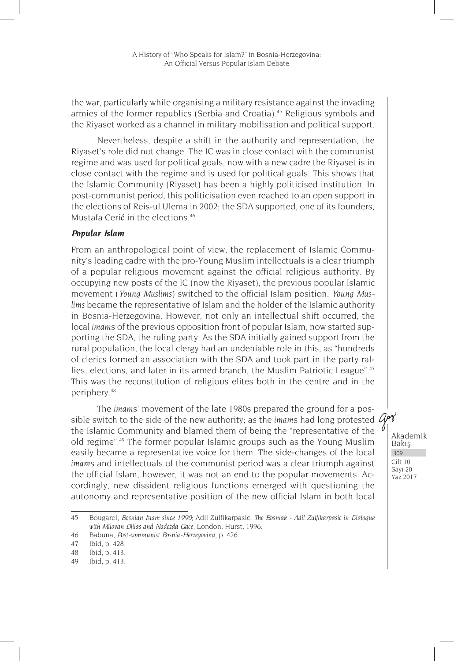the war, particularly while organising a military resistance against the invading armies of the former republics (Serbia and Croatia).<sup>45</sup> Religious symbols and the Riyaset worked as a channel in military mobilisation and political support.

Nevertheless, despite a shift in the authority and representation, the Riyaset's role did not change. The IC was in close contact with the communist regime and was used for political goals, now with a new cadre the Riyaset is in close contact with the regime and is used for political goals. This shows that the Islamic Community (Riyaset) has been a highly politicised institution. In post-communist period, this politicisation even reached to an open support in the elections of Reis-ul Ulema in 2002; the SDA supported, one of its founders, Mustafa Cerić in the elections<sup>46</sup>

#### *Popular Islam*

From an anthropological point of view, the replacement of Islamic Community's leading cadre with the pro-Young Muslim intellectuals is a clear triumph of a popular religious movement against the official religious authority. By occupying new posts of the IC (now the Riyaset), the previous popular Islamic movement (*Young Muslims*) switched to the official Islam position. *Young Muslims* became the representative of Islam and the holder of the Islamic authority in Bosnia-Herzegovina. However, not only an intellectual shift occurred, the local *imam*s of the previous opposition front of popular Islam, now started supporting the SDA, the ruling party. As the SDA initially gained support from the rural population, the local clergy had an undeniable role in this, as "hundreds of clerics formed an association with the SDA and took part in the party rallies, elections, and later in its armed branch, the Muslim Patriotic League".<sup>47</sup> This was the reconstitution of religious elites both in the centre and in the periphery.48

The *imam*s' movement of the late 1980s prepared the ground for a possible switch to the side of the new authority; as the *imam*s had long protested the Islamic Community and blamed them of being the "representative of the old regime".49 The former popular Islamic groups such as the Young Muslim easily became a representative voice for them. The side-changes of the local *imam*s and intellectuals of the communist period was a clear triumph against the official Islam, however, it was not an end to the popular movements. Accordingly, new dissident religious functions emerged with questioning the autonomy and representative position of the new official Islam in both local

<sup>45</sup> Bougarel, *Bosnian Islam since 1990*; Adil Zulfikarpasic, *The Bosniak - Adil Zulfikarpasic in Dialogue with Milovan Djilas and Nadezda Gace*, London, Hurst, 1996.

<sup>46</sup> Babuna, *Post-communist Bosnia-Herzegovina*, p. 426.

<sup>47</sup> Ibid, p. 428.

<sup>48</sup> Ibid, p. 413.

<sup>49</sup> Ibid, p. 413.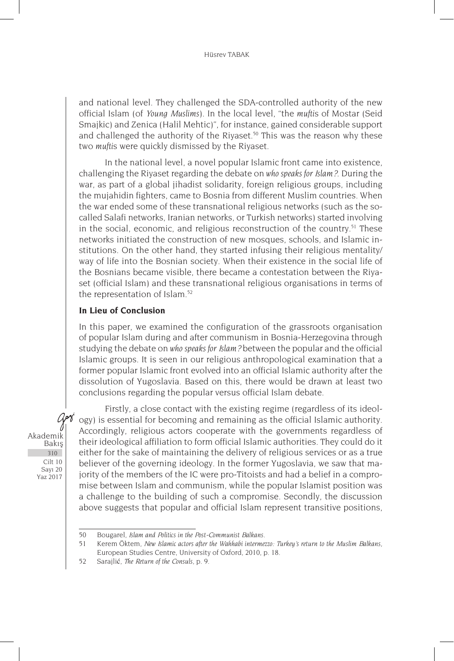and national level. They challenged the SDA-controlled authority of the new official Islam (of *Young Muslims*). In the local level, "the *mufti*s of Mostar (Seid Smajkic) and Zenica (Halil Mehtic)", for instance, gained considerable support and challenged the authority of the Riyaset.<sup>50</sup> This was the reason why these two *mufti*s were quickly dismissed by the Riyaset.

In the national level, a novel popular Islamic front came into existence, challenging the Riyaset regarding the debate on *who speaks for Islam?*. During the war, as part of a global jihadist solidarity, foreign religious groups, including the mujahidin fighters, came to Bosnia from different Muslim countries. When the war ended some of these transnational religious networks (such as the socalled Salafi networks, Iranian networks, or Turkish networks) started involving in the social, economic, and religious reconstruction of the country.<sup>51</sup> These networks initiated the construction of new mosques, schools, and Islamic institutions. On the other hand, they started infusing their religious mentality/ way of life into the Bosnian society. When their existence in the social life of the Bosnians became visible, there became a contestation between the Riyaset (official Islam) and these transnational religious organisations in terms of the representation of Islam.<sup>52</sup>

## **In Lieu of Conclusion**

In this paper, we examined the configuration of the grassroots organisation of popular Islam during and after communism in Bosnia-Herzegovina through studying the debate on *who speaks for Islam?* between the popular and the official Islamic groups. It is seen in our religious anthropological examination that a former popular Islamic front evolved into an official Islamic authority after the dissolution of Yugoslavia. Based on this, there would be drawn at least two conclusions regarding the popular versus official Islam debate.

arš Akademik Bakış 310 Cilt 10 Sayı 20 Yaz 2017

Firstly, a close contact with the existing regime (regardless of its ideology) is essential for becoming and remaining as the official Islamic authority. Accordingly, religious actors cooperate with the governments regardless of their ideological affiliation to form official Islamic authorities. They could do it either for the sake of maintaining the delivery of religious services or as a true believer of the governing ideology. In the former Yugoslavia, we saw that majority of the members of the IC were pro-Titoists and had a belief in a compromise between Islam and communism, while the popular Islamist position was a challenge to the building of such a compromise. Secondly, the discussion above suggests that popular and official Islam represent transitive positions,

<sup>50</sup> Bougarel, *Islam and Politics in the Post-Communist Balkans.*

<sup>51</sup> Kerem Öktem, *New Islamic actors after the Wahhabi intermezzo: Turkey's return to the Muslim Balkans,* European Studies Centre, University of Oxford, 2010, p. 18.

<sup>52</sup> Sarajlić, *The Return of the Consuls*, p. 9.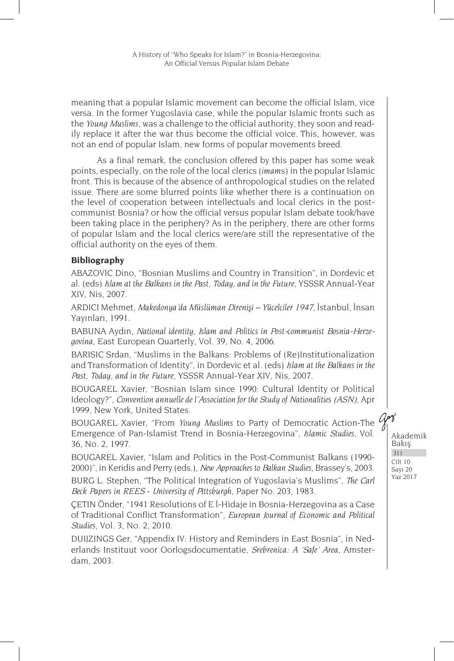meaning that a popular Islamic movement can become the official Islam, vice versa. In the former Yugoslavia case, while the popular Islamic fronts such as the *Young Muslims*, was a challenge to the official authority, they soon and readily replace it after the war thus become the official voice. This, however, was not an end of popular Islam, new forms of popular movements breed.

As a final remark, the conclusion offered by this paper has some weak points, especially, on the role of the local clerics (*imam*s) in the popular Islamic front. This is because of the absence of anthropological studies on the related issue. There are some blurred points like whether there is a continuation on the level of cooperation between intellectuals and local clerics in the postcommunist Bosnia? or how the official versus popular Islam debate took/have been taking place in the periphery? As in the periphery, there are other forms of popular Islam and the local clerics were/are still the representative of the official authority on the eyes of them.

## **Bibliography**

ABAZOVIC Dino, "Bosnian Muslims and Country in Transition", in Dordevic et al. (eds) *Islam at the Balkans in the Past, Today, and in the Future*, YSSSR Annual-Year XIV, Nis, 2007.

ARDICI Mehmet, *Makedonya'da Müslüman Direnişi – Yücelciler 1947*, İstanbul, İnsan Yayınları, 1991.

BABUNA Aydın, *National identity, Islam and Politics in Post-communist Bosnia-Herzegovina*, East European Quarterly, Vol. 39, No. 4, 2006.

BARISIC Srdan, "Muslims in the Balkans: Problems of (Re)Institutionalization and Transformation of Identity", in Dordevic et al. (eds) *Islam at the Balkans in the Past, Today, and in the Future*, YSSSR Annual-Year XIV, Nis, 2007.

BOUGAREL Xavier, "Bosnian Islam since 1990: Cultural Identity or Political Ideology?", *Convention annuelle de l'Association for the Study of Nationalities (ASN)*, Apr 1999, New York, United States.

BOUGAREL Xavier, "From *Young Muslims* to Party of Democratic Action-The  $\mathcal{A}^{\mathbf{y}}$ Emergence of Pan-Islamist Trend in Bosnia-Herzegovina", *Islamic Studies*, Vol. 36, No. 2, 1997.

BOUGAREL Xavier, "Islam and Politics in the Post-Communist Balkans (1990- 2000)", in Keridis and Perry (eds.), *New Approaches to Balkan Studies*, Brassey's, 2003.

BURG L. Stephen, "The Political Integration of Yugoslavia's Muslims", *The Carl Beck Papers in REES* - *University of Pittsburgh*, Paper No. 203, 1983.

ÇETIN Önder, "1941 Resolutions of E l-Hidaje in Bosnia-Herzegovina as a Case of Traditional Conflict Transformation", *European Journal of Economic and Political Studies*, Vol. 3, No. 2, 2010.

DUIJZINGS Ger, "Appendix IV: History and Reminders in East Bosnia", in Nederlands Instituut voor Oorlogsdocumentatie, *Srebrenica: A 'Safe' Area*, Amsterdam, 2003.